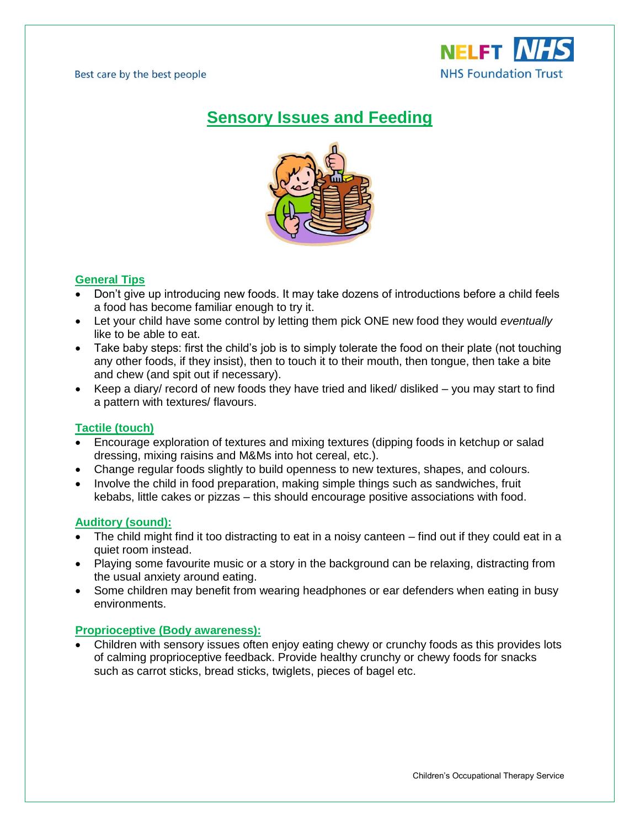

# **Sensory Issues and Feeding**



## **General Tips**

- Don't give up introducing new foods. It may take dozens of introductions before a child feels a food has become familiar enough to try it.
- Let your child have some control by letting them pick ONE new food they would *eventually* like to be able to eat.
- Take baby steps: first the child's job is to simply tolerate the food on their plate (not touching any other foods, if they insist), then to touch it to their mouth, then tongue, then take a bite and chew (and spit out if necessary).
- Keep a diary/ record of new foods they have tried and liked/ disliked you may start to find a pattern with textures/ flavours.

### **Tactile (touch)**

- Encourage exploration of textures and mixing textures (dipping foods in ketchup or salad dressing, mixing raisins and M&Ms into hot cereal, etc.).
- Change regular foods slightly to build openness to new textures, shapes, and colours.
- Involve the child in food preparation, making simple things such as sandwiches, fruit kebabs, little cakes or pizzas – this should encourage positive associations with food.

#### **Auditory (sound):**

- The child might find it too distracting to eat in a noisy canteen find out if they could eat in a quiet room instead.
- Playing some favourite music or a story in the background can be relaxing, distracting from the usual anxiety around eating.
- Some children may benefit from wearing headphones or ear defenders when eating in busy environments.

#### **Proprioceptive (Body awareness):**

 Children with sensory issues often enjoy eating chewy or crunchy foods as this provides lots of calming proprioceptive feedback. Provide healthy crunchy or chewy foods for snacks such as carrot sticks, bread sticks, twiglets, pieces of bagel etc.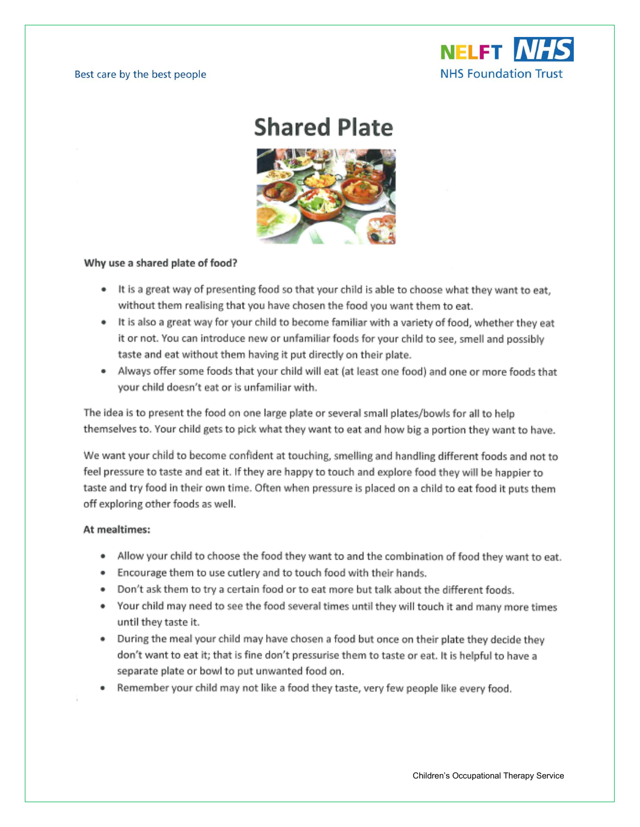

# **Shared Plate**



#### Why use a shared plate of food?

- It is a great way of presenting food so that your child is able to choose what they want to eat, without them realising that you have chosen the food you want them to eat.
- It is also a great way for your child to become familiar with a variety of food, whether they eat it or not. You can introduce new or unfamiliar foods for your child to see, smell and possibly taste and eat without them having it put directly on their plate.
- . Always offer some foods that your child will eat (at least one food) and one or more foods that your child doesn't eat or is unfamiliar with.

The idea is to present the food on one large plate or several small plates/bowls for all to help themselves to. Your child gets to pick what they want to eat and how big a portion they want to have.

We want your child to become confident at touching, smelling and handling different foods and not to feel pressure to taste and eat it. If they are happy to touch and explore food they will be happier to taste and try food in their own time. Often when pressure is placed on a child to eat food it puts them off exploring other foods as well.

#### At mealtimes:

- . Allow your child to choose the food they want to and the combination of food they want to eat.
- . Encourage them to use cutlery and to touch food with their hands.
- . Don't ask them to try a certain food or to eat more but talk about the different foods.
- Your child may need to see the food several times until they will touch it and many more times until they taste it.
- During the meal your child may have chosen a food but once on their plate they decide they  $\bullet$ don't want to eat it; that is fine don't pressurise them to taste or eat. It is helpful to have a separate plate or bowl to put unwanted food on.
- Remember your child may not like a food they taste, very few people like every food.